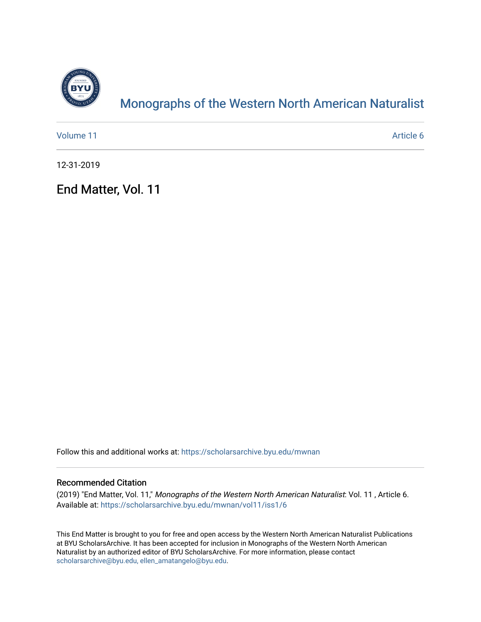

## [Monographs of the Western North American Naturalist](https://scholarsarchive.byu.edu/mwnan)

| Volume 11 | Article 6 |
|-----------|-----------|
|           |           |

12-31-2019

End Matter, Vol. 11

Follow this and additional works at: [https://scholarsarchive.byu.edu/mwnan](https://scholarsarchive.byu.edu/mwnan?utm_source=scholarsarchive.byu.edu%2Fmwnan%2Fvol11%2Fiss1%2F6&utm_medium=PDF&utm_campaign=PDFCoverPages) 

### Recommended Citation

(2019) "End Matter, Vol. 11," Monographs of the Western North American Naturalist: Vol. 11 , Article 6. Available at: [https://scholarsarchive.byu.edu/mwnan/vol11/iss1/6](https://scholarsarchive.byu.edu/mwnan/vol11/iss1/6?utm_source=scholarsarchive.byu.edu%2Fmwnan%2Fvol11%2Fiss1%2F6&utm_medium=PDF&utm_campaign=PDFCoverPages)

This End Matter is brought to you for free and open access by the Western North American Naturalist Publications at BYU ScholarsArchive. It has been accepted for inclusion in Monographs of the Western North American Naturalist by an authorized editor of BYU ScholarsArchive. For more information, please contact [scholarsarchive@byu.edu, ellen\\_amatangelo@byu.edu](mailto:scholarsarchive@byu.edu,%20ellen_amatangelo@byu.edu).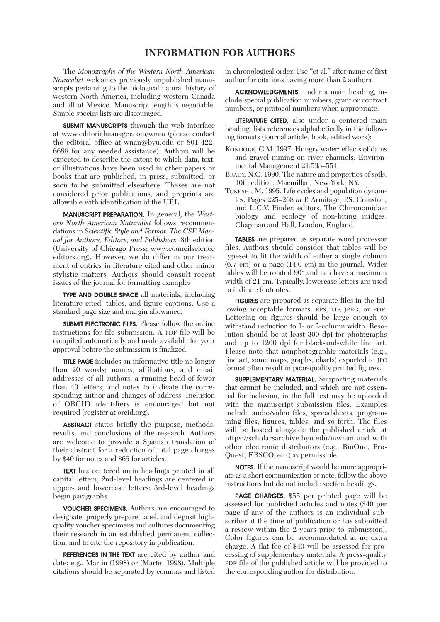#### **INFORMATION FOR AUTHORS**

 The *Monographs of the Western North American Naturalist* welcomes previously unpublished manuscripts pertaining to the biological natural history of western North America, including western Canada and all of Mexico. Manuscript length is negotiable. Simple species lists are discouraged.

**SUBMIT MANUSCRIPTS** through the web interface at www.editorialmanager.com/wnan (please contact the editoral office at wnan@byu.edu or 801-422- 6688 for any needed assistance). Authors will be expected to describe the extent to which data, text, or illustrations have been used in other papers or books that are published, in press, submitted, or soon to be submitted elsewhere. Theses are not considered prior publications, and preprints are allowable with identification of the URL.

 MANUSCRIPT PREPARATION. In general, the *Western North American Naturalist* follows recommendations in *Scientific Style and Format: The CSE Manual for Authors, Editors, and Publishers,* 8th edition (University of Chicago Press; www.councilscience editors.org). However, we do differ in our treatment of entries in literature cited and other minor stylistic matters. Authors should consult recent issues of the journal for formatting examples.

 TYPE AND DOUBLE SPACE all materials, including literature cited, tables, and figure captions. Use a standard page size and margin allowance.

 SUBMIT ELECTRONIC FILES. Please follow the online instructions for file submission. A PDF file will be compiled automatically and made available for your approval before the submission is finalized.

**TITLE PAGE** includes an informative title no longer than 20 words; names, affiliations, and email addresses of all authors; a running head of fewer than 40 letters; and notes to indicate the corresponding author and changes of address. Inclusion of ORCID identifiers is encouraged but not required (register at orcid.org).

**ABSTRACT** states briefly the purpose, methods, results, and conclusions of the research. Authors are welcome to provide a Spanish translation of their abstract for a reduction of total page charges by \$40 for notes and \$65 for articles.

 TEXT has centered main headings printed in all capital letters; 2nd-level headings are centered in upper- and lowercase letters; 3rd-level headings begin paragraphs.

 VOUCHER SPECIMENS. Authors are encouraged to designate, properly prepare, label, and deposit highquality voucher specimens and cultures documenting their research in an established permanent collection, and to cite the repository in publication.

REFERENCES IN THE TEXT are cited by author and date: e.g., Martin (1998) or (Martin 1998). Multiple citations should be separated by commas and listed in chronological order. Use "et al." after name of first author for citations having more than 2 authors.

ACKNOWLEDGMENTS, under a main heading, include special publication numbers, grant or contract numbers, or protocol numbers when appropriate.

 LITERATURE CITED, also under a centered main heading, lists references alphabetically in the following formats (journal article, book, edited work):

- KONDOLE, G.M. 1997. Hungry water: effects of dams and gravel mining on river channels. Environmental Management 21:533–551.
- BRADY, N.C. 1990. The nature and properties of soils. 10th edition. Macmillan, New York, NY.
- TOKESHI, M. 1995. Life cycles and population dynam ics. Pages 225–268 *in* P. Armitage, P.S. Cranston, and L.C.V. Pinder, editors, The Chironomidae: biology and ecology of non-biting midges. Chapman and Hall, London, England.

 TABLES are prepared as separate word processor files. Authors should consider that tables will be typeset to fit the width of either a single column (6.7 cm) or a page (14.0 cm) in the journal. Wider tables will be rotated 90° and can have a maximum width of 21 cm. Typically, lowercase letters are used to indicate footnotes.

 FIGURES are prepared as separate files in the following acceptable formats: EPS, TIF, JPEG, or PDF. Lettering on figures should be large enough to withstand reduction to 1- or 2-column width. Resolution should be at least 300 dpi for photographs and up to 1200 dpi for black-and-white line art. Please note that nonphotographic materials (e.g., line art, some maps, graphs, charts) exported to JPG format often result in poor-quality printed figures.

 SUPPLEMENTARY MATERIAL. Supporting materials that cannot be included, and which are not essential for inclusion, in the full text may be uploaded with the manuscript submission files. Examples include audio/video files, spreadsheets, programming files, figures, tables, and so forth. The files will be hosted alongside the published article at https://scholarsarchive.byu.edu/mwnan and with other electronic distributors (e.g., BioOne, Pro-Quest, EBSCO, etc.) as permissible.

NOTES. If the manuscript would be more appropriate as a short communication or note, follow the above instructions but do not include section headings.

 PAGE CHARGES. \$55 per printed page will be assessed for published articles and notes (\$40 per page if any of the authors is an individual subscriber at the time of publication or has submitted a review within the 2 years prior to submission). Color figures can be accommodated at no extra charge. A flat fee of \$40 will be assessed for processing of supplementary materials. A press-quality PDF file of the published article will be provided to the corresponding author for distribution.